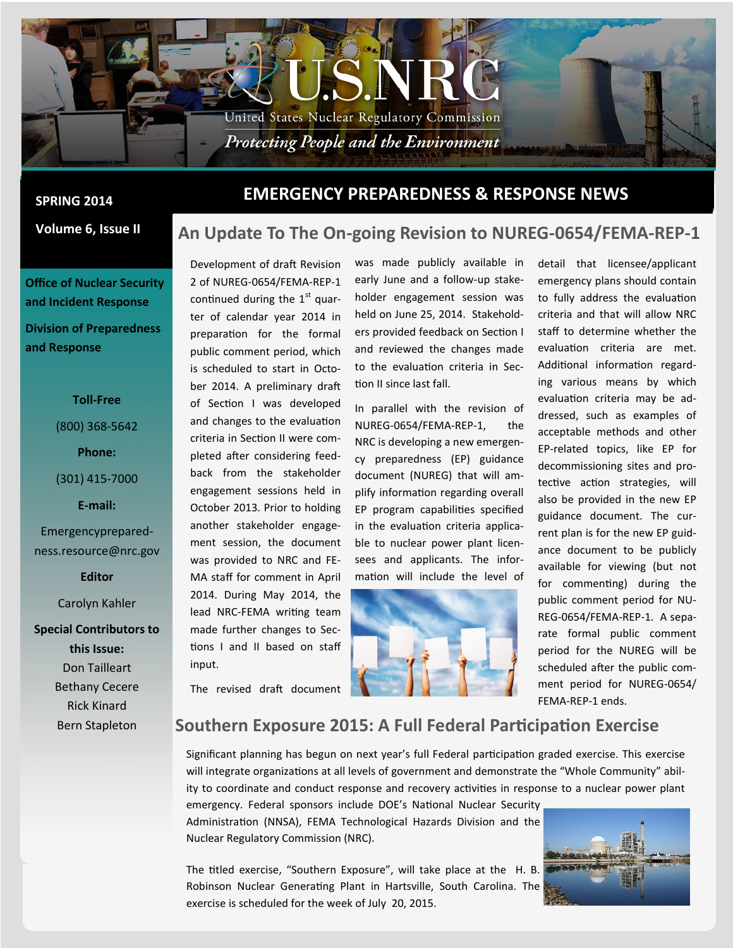

### **Volume 6, Issue II**

**Office of Nuclear Security and Incident Response Division of Preparedness and Response**

### **Toll-Free**

(800) 368-5642

#### **Phone:**

(301) 415-7000

#### **E-mail:**

Emergencypreparedness.resource@nrc.gov

**Editor**

Carolyn Kahler

**Special Contributors to this Issue:** Don Tailleart Bethany Cecere Rick Kinard Bern Stapleton

## **EMERGENCY PREPAREDNESS & RESPONSE NEWS SPRING 2014**

## **An Update To The On-going Revision to NUREG-0654/FEMA-REP-1**

Development of draft Revision 2 of NUREG-0654/FEMA-REP-1 continued during the  $1<sup>st</sup>$  quarter of calendar year 2014 in preparation for the formal public comment period, which is scheduled to start in October 2014. A preliminary draft of Section I was developed and changes to the evaluation criteria in Section II were completed after considering feedback from the stakeholder engagement sessions held in October 2013. Prior to holding another stakeholder engagement session, the document was provided to NRC and FE-MA staff for comment in April 2014. During May 2014, the lead NRC-FEMA writing team made further changes to Sections I and II based on staff input.

The revised draft document

was made publicly available in early June and a follow-up stakeholder engagement session was held on June 25, 2014. Stakeholders provided feedback on Section I and reviewed the changes made to the evaluation criteria in Section II since last fall.

In parallel with the revision of NUREG-0654/FEMA-REP-1, the NRC is developing a new emergency preparedness (EP) guidance document (NUREG) that will amplify information regarding overall EP program capabilities specified in the evaluation criteria applicable to nuclear power plant licensees and applicants. The information will include the level of



detail that licensee/applicant emergency plans should contain to fully address the evaluation criteria and that will allow NRC staff to determine whether the evaluation criteria are met. Additional information regarding various means by which evaluation criteria may be addressed, such as examples of acceptable methods and other EP-related topics, like EP for decommissioning sites and protective action strategies, will also be provided in the new EP guidance document. The current plan is for the new EP guidance document to be publicly available for viewing (but not for commenting) during the public comment period for NU-REG-0654/FEMA-REP-1. A separate formal public comment period for the NUREG will be scheduled after the public comment period for NUREG-0654/ FEMA-REP-1 ends.

# **Southern Exposure 2015: A Full Federal Participation Exercise**

Significant planning has begun on next year's full Federal participation graded exercise. This exercise will integrate organizations at all levels of government and demonstrate the "Whole Community" ability to coordinate and conduct response and recovery activities in response to a nuclear power plant

emergency. Federal sponsors include DOE's National Nuclear Security Administration (NNSA), FEMA Technological Hazards Division and the Nuclear Regulatory Commission (NRC).



The titled exercise, "Southern Exposure", will take place at the H. B. Robinson Nuclear Generating Plant in Hartsville, South Carolina. The exercise is scheduled for the week of July 20, 2015.